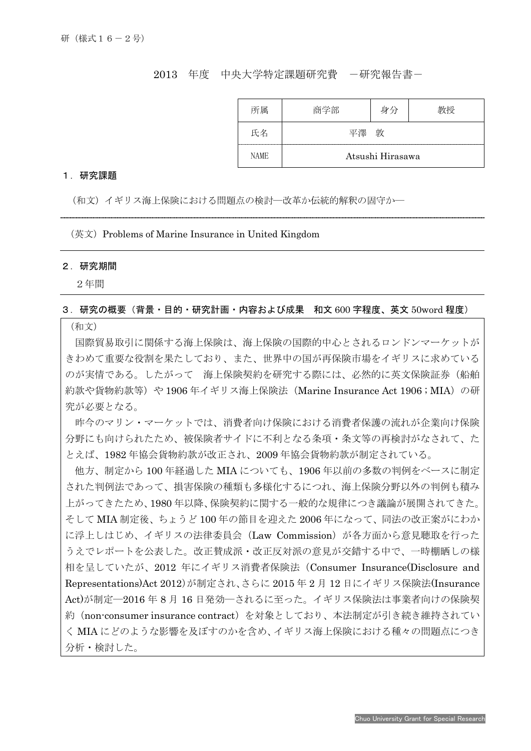# 2013 年度 中央大学特定課題研究費 一研究報告書ー

| 所属          | 商学部              | 身分 | 7将 |
|-------------|------------------|----|----|
| 氏名          |                  | 敦  |    |
| <b>NAME</b> | Atsushi Hirasawa |    |    |

#### 1.研究課題

(和文)イギリス海上保険における問題点の検討―改革か伝統的解釈の固守か―

 $($ 英文) Problems of Marine Insurance in United Kingdom

#### 2.研究期間

I

2年間

### 3.研究の概要(背景・目的・研究計画・内容および成果 和文 600 字程度、英文 50word 程度)

# (和文)

国際貿易取引に関係する海上保険は、海上保険の国際的中心とされるロンドンマーケットが きわめて重要な役割を果たしており、また、世界中の国が再保険市場をイギリスに求めている のが実情である。したがって 海上保険契約を研究する際には、必然的に英文保険証券(船舶 約款や貨物約款等)や 1906 年イギリス海上保険法 (Marine Insurance Act 1906 ; MIA)の研 究が必要となる。

昨今のマリン・マーケットでは、消費者向け保険における消費者保護の流れが企業向け保険 分野にも向けられたため、被保険者サイドに不利となる条項・条文等の再検討がなされて、た とえば、1982 年協会貨物約款が改正され、2009 年協会貨物約款が制定されている。

他方、制定から 100 年経過した MIA についても、1906 年以前の多数の判例をベースに制定 された判例法であって、損害保険の種類も多様化するにつれ、海上保険分野以外の判例も積み 上がってきたため、1980 年以降、保険契約に関する一般的な規律につき議論が展開されてきた。 そして MIA 制定後、ちょうど 100 年の節目を迎えた 2006 年になって、同法の改正案がにわか に浮上しはじめ、イギリスの法律委員会 (Law Commission) が各方面から意見聴取を行った うえでレポートを公表した。改正賛成派・改正反対派の意見が交錯する中で、一時棚晒しの様 相を呈していたが、2012 年にイギリス消費者保険法(Consumer Insurance(Disclosure and Representations)Act 2012)が制定され、さらに 2015 年 2 月 12 日にイギリス保険法(Insurance Act)が制定―2016 年 8 月 16 日発効―されるに至った。イギリス保険法は事業者向けの保険契 約(non-consumer insurance contract)を対象としており、本法制定が引き続き維持されてい く MIA にどのような影響を及ぼすのかを含め、イギリス海上保険における種々の問題点につき 分析・検討した。